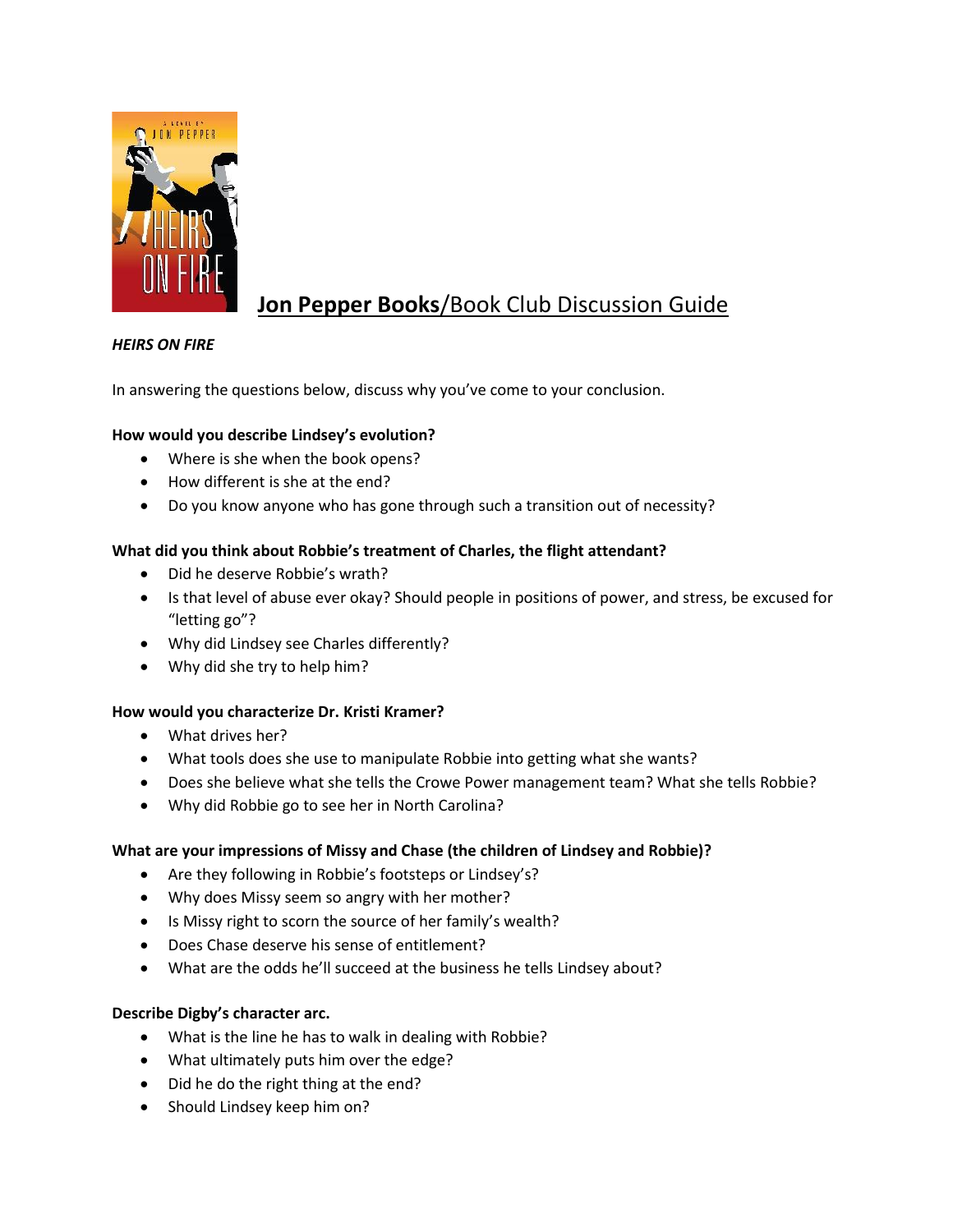

# **Jon Pepper Books**/Book Club Discussion Guide

# *HEIRS ON FIRE*

In answering the questions below, discuss why you've come to your conclusion.

## **How would you describe Lindsey's evolution?**

- Where is she when the book opens?
- How different is she at the end?
- Do you know anyone who has gone through such a transition out of necessity?

#### **What did you think about Robbie's treatment of Charles, the flight attendant?**

- Did he deserve Robbie's wrath?
- Is that level of abuse ever okay? Should people in positions of power, and stress, be excused for "letting go"?
- Why did Lindsey see Charles differently?
- Why did she try to help him?

#### **How would you characterize Dr. Kristi Kramer?**

- What drives her?
- What tools does she use to manipulate Robbie into getting what she wants?
- Does she believe what she tells the Crowe Power management team? What she tells Robbie?
- Why did Robbie go to see her in North Carolina?

#### **What are your impressions of Missy and Chase (the children of Lindsey and Robbie)?**

- Are they following in Robbie's footsteps or Lindsey's?
- Why does Missy seem so angry with her mother?
- Is Missy right to scorn the source of her family's wealth?
- Does Chase deserve his sense of entitlement?
- What are the odds he'll succeed at the business he tells Lindsey about?

#### **Describe Digby's character arc.**

- What is the line he has to walk in dealing with Robbie?
- What ultimately puts him over the edge?
- Did he do the right thing at the end?
- Should Lindsey keep him on?